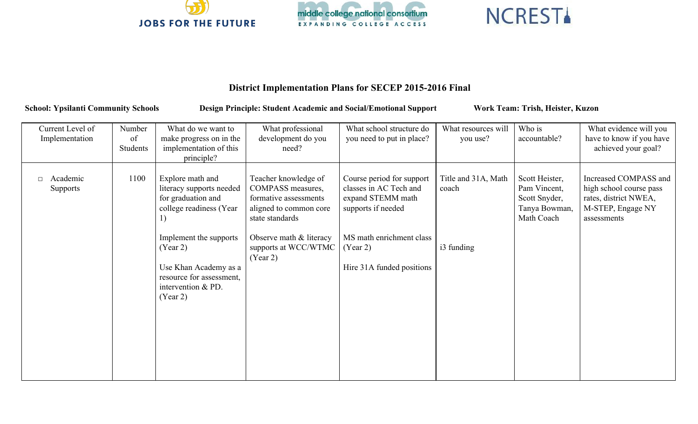





## **District Implementation Plans for SECEP 20152016 Final**

School: Ypsilanti Community Schools Design Principle: Student Academic and Social/Emotional Support Work Team: Trish, Heister, Kuzon

| Current Level of<br>Implementation | Number<br>of<br>Students | What do we want to<br>make progress on in the<br>implementation of this<br>principle?                                                                                                                                            | What professional<br>development do you<br>need?                                                                                                                               | What school structure do<br>you need to put in place?                                                                                                               | What resources will<br>you use?            | Who is<br>accountable?                                                         | What evidence will you<br>have to know if you have<br>achieved your goal?                                     |
|------------------------------------|--------------------------|----------------------------------------------------------------------------------------------------------------------------------------------------------------------------------------------------------------------------------|--------------------------------------------------------------------------------------------------------------------------------------------------------------------------------|---------------------------------------------------------------------------------------------------------------------------------------------------------------------|--------------------------------------------|--------------------------------------------------------------------------------|---------------------------------------------------------------------------------------------------------------|
| Academic<br>$\Box$<br>Supports     | 1100                     | Explore math and<br>literacy supports needed<br>for graduation and<br>college readiness (Year<br>1)<br>Implement the supports<br>(Year 2)<br>Use Khan Academy as a<br>resource for assessment,<br>intervention & PD.<br>(Year 2) | Teacher knowledge of<br>COMPASS measures,<br>formative assessments<br>aligned to common core<br>state standards<br>Observe math & literacy<br>supports at WCC/WTMC<br>(Year 2) | Course period for support<br>classes in AC Tech and<br>expand STEMM math<br>supports if needed<br>MS math enrichment class<br>(Year 2)<br>Hire 31A funded positions | Title and 31A, Math<br>coach<br>i3 funding | Scott Heister,<br>Pam Vincent,<br>Scott Snyder,<br>Tanya Bowman,<br>Math Coach | Increased COMPASS and<br>high school course pass<br>rates, district NWEA,<br>M-STEP, Engage NY<br>assessments |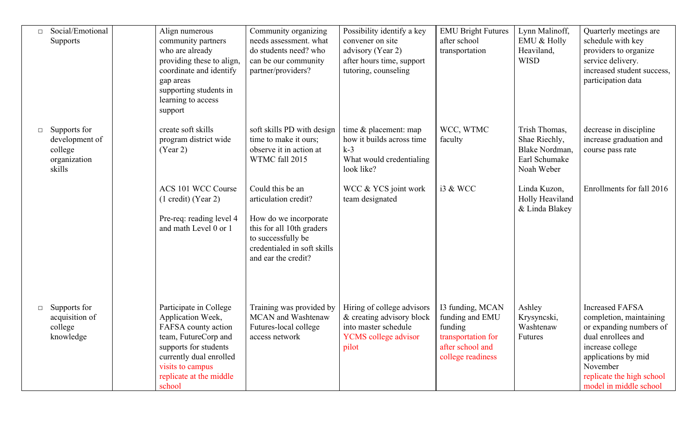| Social/Emotional<br>$\Box$<br>Supports                                        | Align numerous<br>community partners<br>who are already<br>providing these to align,<br>coordinate and identify<br>gap areas<br>supporting students in<br>learning to access<br>support                 | Community organizing<br>needs assessment. what<br>do students need? who<br>can be our community<br>partner/providers?                                                      | Possibility identify a key<br>convener on site<br>advisory (Year 2)<br>after hours time, support<br>tutoring, counseling | <b>EMU Bright Futures</b><br>after school<br>transportation                                                   | Lynn Malinoff,<br><b>EMU &amp; Holly</b><br>Heaviland,<br><b>WISD</b>           | Quarterly meetings are<br>schedule with key<br>providers to organize<br>service delivery.<br>increased student success,<br>participation data                                                                    |
|-------------------------------------------------------------------------------|---------------------------------------------------------------------------------------------------------------------------------------------------------------------------------------------------------|----------------------------------------------------------------------------------------------------------------------------------------------------------------------------|--------------------------------------------------------------------------------------------------------------------------|---------------------------------------------------------------------------------------------------------------|---------------------------------------------------------------------------------|------------------------------------------------------------------------------------------------------------------------------------------------------------------------------------------------------------------|
| Supports for<br>$\Box$<br>development of<br>college<br>organization<br>skills | create soft skills<br>program district wide<br>(Year 2)                                                                                                                                                 | soft skills PD with design<br>time to make it ours;<br>observe it in action at<br>WTMC fall 2015                                                                           | time $&$ placement: map<br>how it builds across time<br>$k-3$<br>What would credentialing<br>look like?                  | WCC, WTMC<br>faculty                                                                                          | Trish Thomas,<br>Shae Riechly,<br>Blake Nordman.<br>Earl Schumake<br>Noah Weber | decrease in discipline<br>increase graduation and<br>course pass rate                                                                                                                                            |
|                                                                               | ACS 101 WCC Course<br>$(1 \text{ credit})$ (Year 2)<br>Pre-req: reading level 4<br>and math Level 0 or 1                                                                                                | Could this be an<br>articulation credit?<br>How do we incorporate<br>this for all 10th graders<br>to successfully be<br>credentialed in soft skills<br>and ear the credit? | WCC & YCS joint work<br>team designated                                                                                  | i3 & WCC                                                                                                      | Linda Kuzon,<br>Holly Heaviland<br>& Linda Blakey                               | Enrollments for fall 2016                                                                                                                                                                                        |
| Supports for<br>$\Box$<br>acquisition of<br>college<br>knowledge              | Participate in College<br>Application Week,<br>FAFSA county action<br>team, FutureCorp and<br>supports for students<br>currently dual enrolled<br>visits to campus<br>replicate at the middle<br>school | Training was provided by<br><b>MCAN</b> and Washtenaw<br>Futures-local college<br>access network                                                                           | Hiring of college advisors<br>& creating advisory block<br>into master schedule<br><b>YCMS</b> college advisor<br>pilot  | I3 funding, MCAN<br>funding and EMU<br>funding<br>transportation for<br>after school and<br>college readiness | Ashley<br>Krysyncski,<br>Washtenaw<br><b>Futures</b>                            | <b>Increased FAFSA</b><br>completion, maintaining<br>or expanding numbers of<br>dual enrollees and<br>increase college<br>applications by mid<br>November<br>replicate the high school<br>model in middle school |